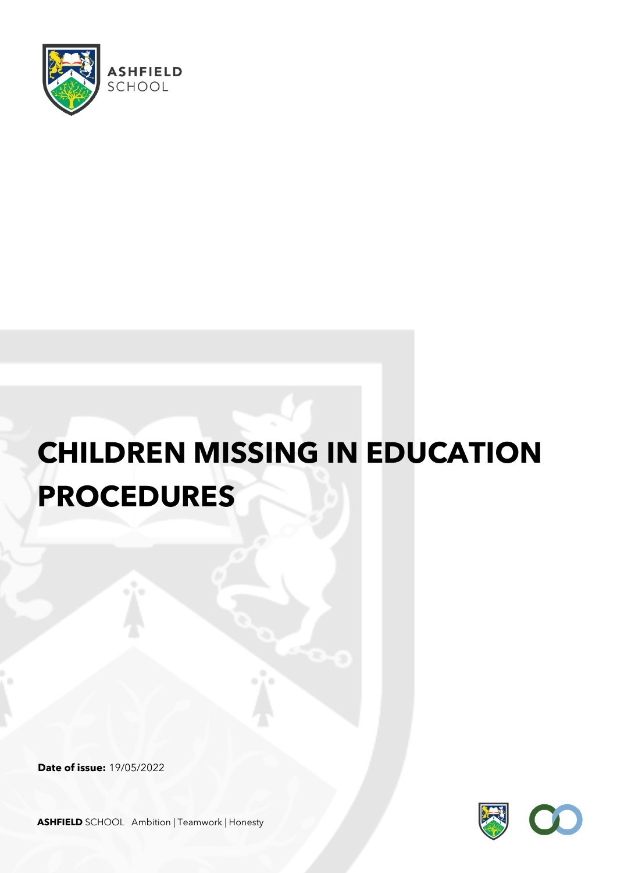

# **CHILDREN MISSING IN EDUCATION PROCEDURES**

**Date of issue:** 19/05/2022



**ASHFIELD** SCHOOL Ambition | Teamwork | Honesty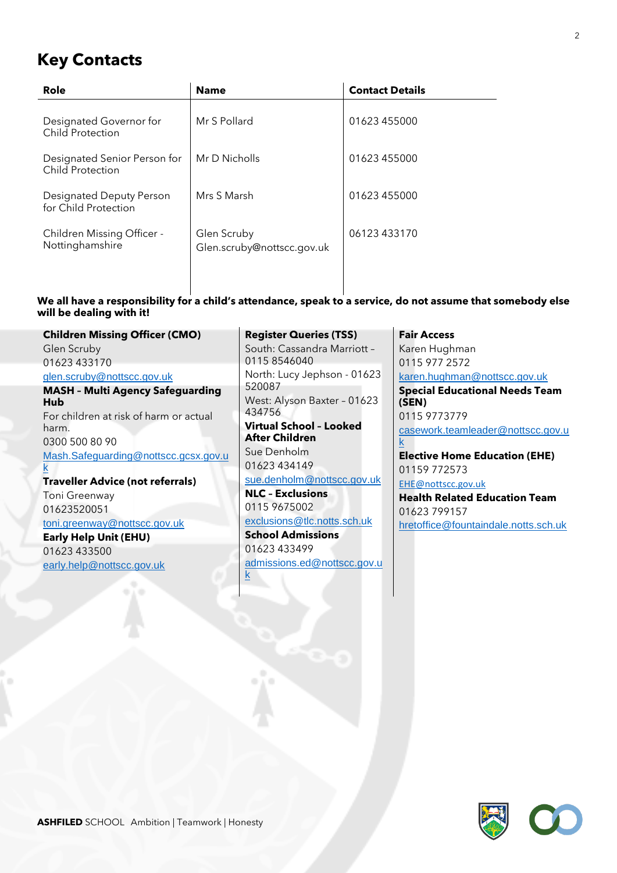# **Key Contacts**

| Role                                             | <b>Name</b>                               | <b>Contact Details</b> |
|--------------------------------------------------|-------------------------------------------|------------------------|
| Designated Governor for<br>Child Protection      | Mr S Pollard                              | 01623 455000           |
| Designated Senior Person for<br>Child Protection | Mr D Nicholls                             | 01623 455000           |
| Designated Deputy Person<br>for Child Protection | Mrs S Marsh                               | 01623 455000           |
| Children Missing Officer -<br>Nottinghamshire    | Glen Scruby<br>Glen.scruby@nottscc.gov.uk | 06123433170            |

#### **We all have a responsibility for a child's attendance, speak to a service, do not assume that somebody else will be dealing with it!**

**Children Missing Officer (CMO)** Glen Scruby 01623 433170 [glen.scruby@nottscc.gov.uk](mailto:glen.scruby@nottscc.gov.uk) **MASH – Multi Agency Safeguarding Hub** For children at risk of harm or actual harm. 0300 500 80 90 [Mash.Safeguarding@nottscc.gcsx.gov.u](mailto:Mash.Safeguarding@nottscc.gcsx.gov.uk) [k](mailto:Mash.Safeguarding@nottscc.gcsx.gov.uk) **Traveller Advice (not referrals)** Toni Greenway 01623520051 [toni.greenway@nottscc.gov.uk](mailto:toni.greenway@nottscc.gov.uk) **Early Help Unit (EHU)**

01623 433500 [early.help@nottscc.gov.uk](mailto:early.help@nottscc.gov.uk) **Register Queries (TSS)** South: Cassandra Marriott – 0115 8546040 North: Lucy Jephson - 01623 520087 West: Alyson Baxter – 01623 434756 **Virtual School – Looked After Children** Sue Denholm

01623 434149 [sue.denholm@nottscc.gov.uk](mailto:sue.denholm@nottscc.gov.uk)

**NLC – Exclusions** 0115 9675002

[exclusions@tlc.notts.sch.uk](mailto:exclusions@tlc.notts.sch.uk) **School Admissions** 01623 433499

[admissions.ed@nottscc.gov.u](mailto:admissions.ed@nottscc.gov.uk) [k](mailto:admissions.ed@nottscc.gov.uk)

**Fair Access** Karen Hughman 0115 977 2572 [karen.hughman@nottscc.gov.uk](mailto:karen.hughman@nottscc.gov.uk) **Special Educational Needs Team (SEN)** 0115 9773779 [casework.teamleader@nottscc.gov.u](mailto:casework.teamleader@nottscc.gov.uk) [k](mailto:casework.teamleader@nottscc.gov.uk) **Elective Home Education (EHE)** 01159 772573 [EHE@nottscc.gov.uk](mailto:EHE@nottscc.gov.uk) **Health Related Education Team** 01623 799157

[hretoffice@fountaindale.notts.sch.uk](mailto:hretoffice@fountaindale.notts.sch.uk)

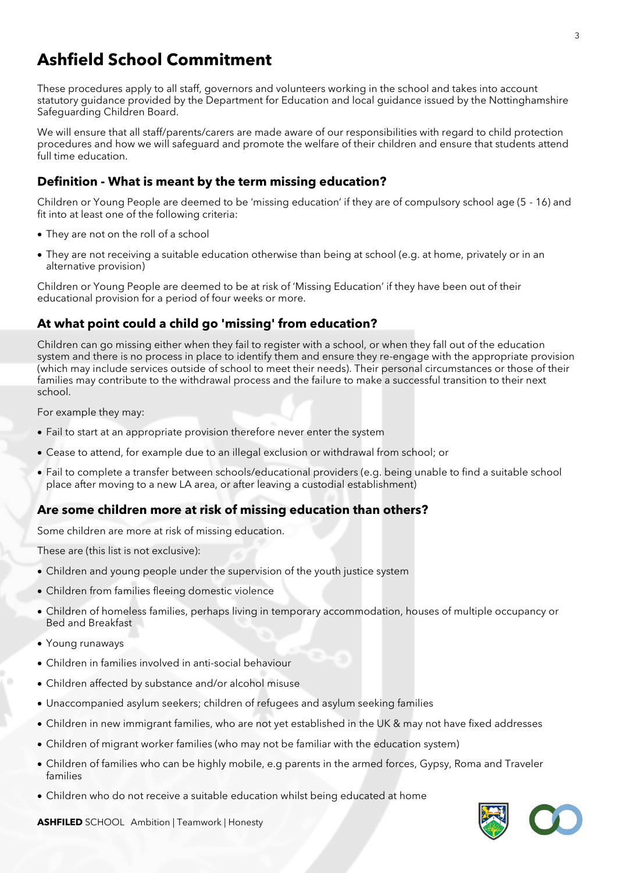# **Ashfield School Commitment**

These procedures apply to all staff, governors and volunteers working in the school and takes into account statutory guidance provided by the Department for Education and local guidance issued by the Nottinghamshire Safeguarding Children Board.

We will ensure that all staff/parents/carers are made aware of our responsibilities with regard to child protection procedures and how we will safeguard and promote the welfare of their children and ensure that students attend full time education.

# **Definition - What is meant by the term missing education?**

Children or Young People are deemed to be 'missing education' if they are of compulsory school age (5 - 16) and fit into at least one of the following criteria:

- They are not on the roll of a school
- They are not receiving a suitable education otherwise than being at school (e.g. at home, privately or in an alternative provision)

Children or Young People are deemed to be at risk of 'Missing Education' if they have been out of their educational provision for a period of four weeks or more.

# **At what point could a child go 'missing' from education?**

Children can go missing either when they fail to register with a school, or when they fall out of the education system and there is no process in place to identify them and ensure they re-engage with the appropriate provision (which may include services outside of school to meet their needs). Their personal circumstances or those of their families may contribute to the withdrawal process and the failure to make a successful transition to their next school.

For example they may:

- Fail to start at an appropriate provision therefore never enter the system
- Cease to attend, for example due to an illegal exclusion or withdrawal from school; or
- Fail to complete a transfer between schools/educational providers (e.g. being unable to find a suitable school place after moving to a new LA area, or after leaving a custodial establishment)

# **Are some children more at risk of missing education than others?**

Some children are more at risk of missing education.

These are (this list is not exclusive):

- Children and young people under the supervision of the youth justice system
- Children from families fleeing domestic violence
- Children of homeless families, perhaps living in temporary accommodation, houses of multiple occupancy or Bed and Breakfast
- Young runaways
- Children in families involved in anti-social behaviour
- Children affected by substance and/or alcohol misuse
- Unaccompanied asylum seekers; children of refugees and asylum seeking families
- Children in new immigrant families, who are not yet established in the UK & may not have fixed addresses
- Children of migrant worker families (who may not be familiar with the education system)
- Children of families who can be highly mobile, e.g parents in the armed forces, Gypsy, Roma and Traveler families
- Children who do not receive a suitable education whilst being educated at home

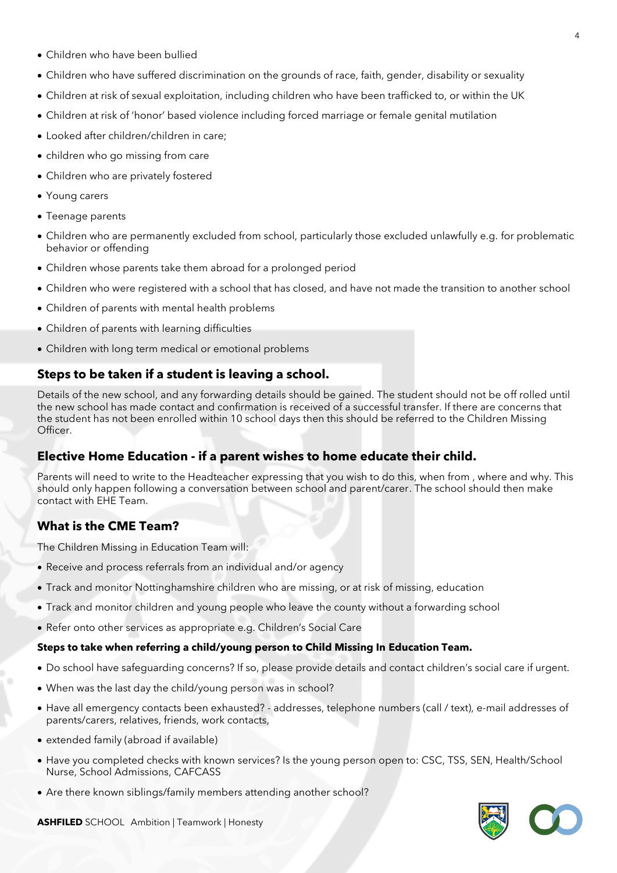- Children who have been bullied
- Children who have suffered discrimination on the grounds of race, faith, gender, disability or sexuality
- Children at risk of sexual exploitation, including children who have been trafficked to, or within the UK
- Children at risk of 'honor' based violence including forced marriage or female genital mutilation
- Looked after children/children in care;
- children who go missing from care
- Children who are privately fostered
- Young carers
- Teenage parents
- Children who are permanently excluded from school, particularly those excluded unlawfully e.g. for problematic behavior or offending
- Children whose parents take them abroad for a prolonged period
- Children who were registered with a school that has closed, and have not made the transition to another school
- Children of parents with mental health problems
- Children of parents with learning difficulties
- Children with long term medical or emotional problems

# **Steps to be taken if a student is leaving a school.**

Details of the new school, and any forwarding details should be gained. The student should not be off rolled until the new school has made contact and confirmation is received of a successful transfer. If there are concerns that the student has not been enrolled within 10 school days then this should be referred to the Children Missing Officer.

# **Elective Home Education - if a parent wishes to home educate their child.**

Parents will need to write to the Headteacher expressing that you wish to do this, when from , where and why. This should only happen following a conversation between school and parent/carer. The school should then make contact with EHE Team.

# **What is the CME Team?**

The Children Missing in Education Team will:

- Receive and process referrals from an individual and/or agency
- Track and monitor Nottinghamshire children who are missing, or at risk of missing, education
- Track and monitor children and young people who leave the county without a forwarding school
- Refer onto other services as appropriate e.g. Children's Social Care

#### **Steps to take when referring a child/young person to Child Missing In Education Team.**

- Do school have safeguarding concerns? If so, please provide details and contact children's social care if urgent.
- When was the last day the child/young person was in school?
- Have all emergency contacts been exhausted? addresses, telephone numbers (call / text), e-mail addresses of parents/carers, relatives, friends, work contacts,
- extended family (abroad if available)
- Have you completed checks with known services? Is the young person open to: CSC, TSS, SEN, Health/School Nurse, School Admissions, CAFCASS
- Are there known siblings/family members attending another school?

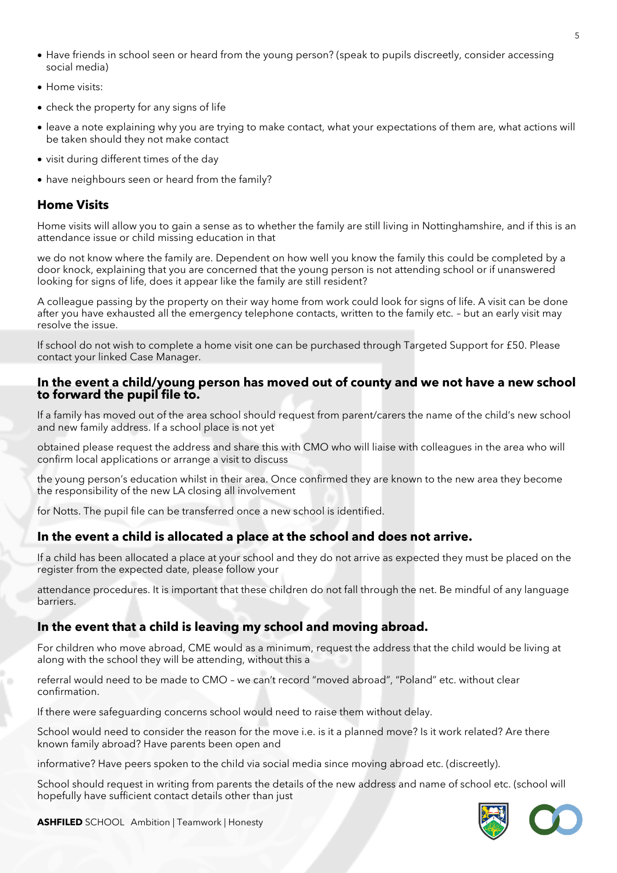- Have friends in school seen or heard from the young person? (speak to pupils discreetly, consider accessing social media)
- Home visits:
- check the property for any signs of life
- leave a note explaining why you are trying to make contact, what your expectations of them are, what actions will be taken should they not make contact
- visit during different times of the day
- have neighbours seen or heard from the family?

# **Home Visits**

Home visits will allow you to gain a sense as to whether the family are still living in Nottinghamshire, and if this is an attendance issue or child missing education in that

we do not know where the family are. Dependent on how well you know the family this could be completed by a door knock, explaining that you are concerned that the young person is not attending school or if unanswered looking for signs of life, does it appear like the family are still resident?

A colleague passing by the property on their way home from work could look for signs of life. A visit can be done after you have exhausted all the emergency telephone contacts, written to the family etc. – but an early visit may resolve the issue.

If school do not wish to complete a home visit one can be purchased through Targeted Support for £50. Please contact your linked Case Manager.

#### **In the event a child/young person has moved out of county and we not have a new school to forward the pupil file to.**

If a family has moved out of the area school should request from parent/carers the name of the child's new school and new family address. If a school place is not yet

obtained please request the address and share this with CMO who will liaise with colleagues in the area who will confirm local applications or arrange a visit to discuss

the young person's education whilst in their area. Once confirmed they are known to the new area they become the responsibility of the new LA closing all involvement

for Notts. The pupil file can be transferred once a new school is identified.

#### **In the event a child is allocated a place at the school and does not arrive.**

If a child has been allocated a place at your school and they do not arrive as expected they must be placed on the register from the expected date, please follow your

attendance procedures. It is important that these children do not fall through the net. Be mindful of any language barriers.

# **In the event that a child is leaving my school and moving abroad.**

For children who move abroad, CME would as a minimum, request the address that the child would be living at along with the school they will be attending, without this a

referral would need to be made to CMO – we can't record "moved abroad", "Poland" etc. without clear confirmation.

If there were safeguarding concerns school would need to raise them without delay.

School would need to consider the reason for the move i.e. is it a planned move? Is it work related? Are there known family abroad? Have parents been open and

informative? Have peers spoken to the child via social media since moving abroad etc. (discreetly).

School should request in writing from parents the details of the new address and name of school etc. (school will hopefully have sufficient contact details other than just



**ASHFILED** SCHOOL Ambition | Teamwork | Honesty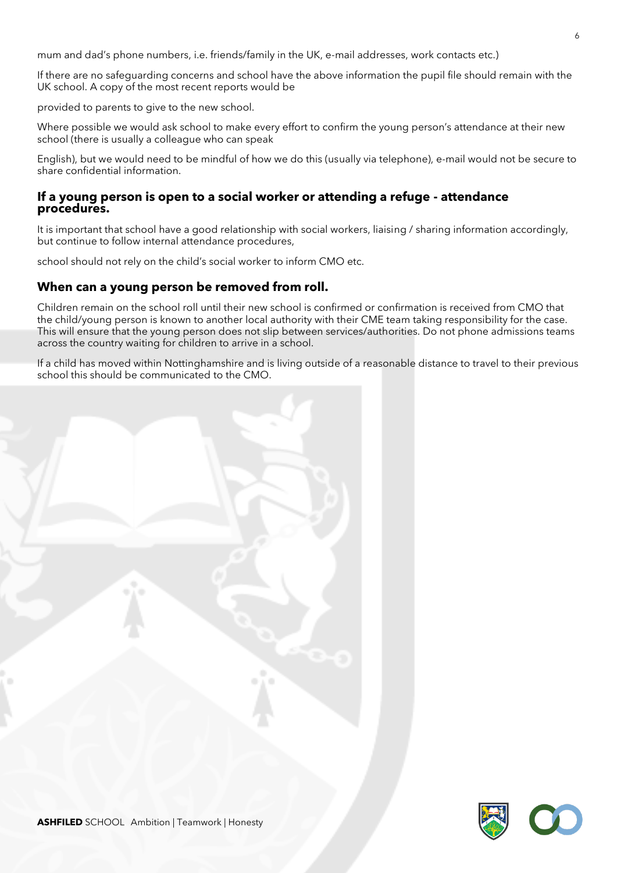mum and dad's phone numbers, i.e. friends/family in the UK, e-mail addresses, work contacts etc.)

If there are no safeguarding concerns and school have the above information the pupil file should remain with the UK school. A copy of the most recent reports would be

provided to parents to give to the new school.

Where possible we would ask school to make every effort to confirm the young person's attendance at their new school (there is usually a colleague who can speak

English), but we would need to be mindful of how we do this (usually via telephone), e-mail would not be secure to share confidential information.

#### **If a young person is open to a social worker or attending a refuge - attendance procedures.**

It is important that school have a good relationship with social workers, liaising / sharing information accordingly, but continue to follow internal attendance procedures,

school should not rely on the child's social worker to inform CMO etc.

### **When can a young person be removed from roll.**

Children remain on the school roll until their new school is confirmed or confirmation is received from CMO that the child/young person is known to another local authority with their CME team taking responsibility for the case. This will ensure that the young person does not slip between services/authorities. Do not phone admissions teams across the country waiting for children to arrive in a school.

If a child has moved within Nottinghamshire and is living outside of a reasonable distance to travel to their previous school this should be communicated to the CMO.



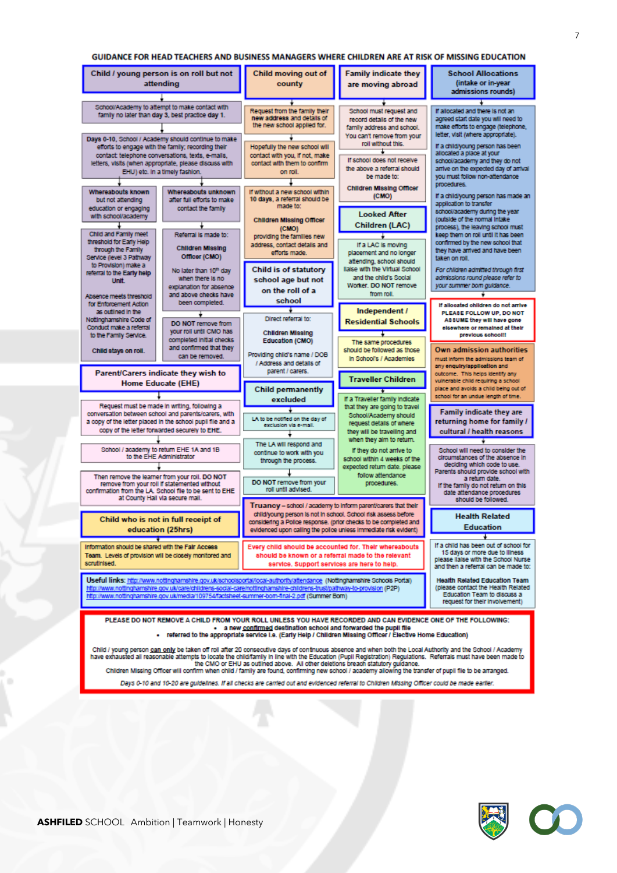#### GUIDANCE FOR HEAD TEACHERS AND BUSINESS MANAGERS WHERE CHILDREN ARE AT RISK OF MISSING EDUCATION



Days 0-10 and 10-20 are guidelines. If all checks are carried out and evidenced referral to Children Missing Officer could be made earlier.